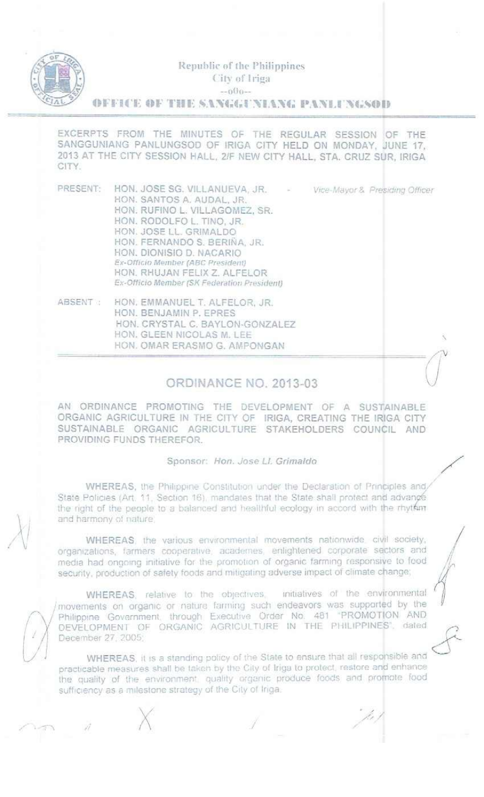

=

#### Republic of the Philippines City of Iriga.  $-0^{(j_{(j-1)})}$

 $0$ FFICE  $0$ F THE SANGGUNIANG PANLUNGSOD

EXCERPTS FROM THE MINUTES OF THE REGULAR SESSION OF THE SANGGUNIANG PANLUNGSOO OF IRIGA CITY HELD ON MONDAY, JUNE 17, 2013 AT THE CITY SESSION HALL, *2JF* NEW CITY HALL, STA. CRUZ SUR, IRIGA CITY.

- PRESENT: HON. JOSE SG. VILLANUEVA, JR. HON. SANTOS A. AUDAL. JR. HON. RUFINO L. VILLAGOMEZ, SR. HON. RODOLFO L. TINO, JR. HON. JOSE LL. GRIMALDO HON. FERNANDO S. BERIÑA, JR. HON. DIONISIO D. NACARIO *Ex·OfflclO Mpmber (ABC Presutent)* HON. RHUJAN FELIX Z. ALFELOR **Ex-Officio Member (SK Federation President)**
- ABSENT : HON. EMMANUEL T. ALFELOR, JR. HON. BENJAMIN P. EPRES HON. CRYSTAL C. BAYLON·GONZALEZ HON. GLEEN NICOLAS M. LEE HON. OMAR ERASMO G. AMPONGAN

#### **ORDINANCE NO. 2013-03**

AN ORDINANCE PROMOTING THE DEVELOPMENT OF A SUSTAINABLE ORGANIC AGRICULTURE IN THE CITY OF IRIGA, CREATING THE IRIGA CITY SUSTAINABLE ORGANIC AGRiCULTURE STAKEHOLDERS COUNCIL AND PROVIDING FUNDS THEREFOR.

#### Sponsor *Hon.*Jose *<sup>U</sup> Grimaldo .:*

WHEREAS, the Philippine Constitution under the Declaration of Principles and/ State Policies (Art, 11. Section 16), mandates that the State shall protect and advance the right of the people to a balanced and healthful ecology in accord with the rhyther and harmony of nature

WHEREAS, the various environmental movements nationwide, civil society, organizations, farmers cooperative, academes, enlightened corporate sectors and media had ongoing initiative for the promotion of organic farming responsive to food security, production of safety foods and mitigating adverse impact of climate change;

WHEREAS, relative to the objectives, initiatives of the environmental<br>movements on organic or nature farming such endeavors was supported by the Imovements on organic or nature farming such endeavors was supported by the */ Philippine Government*, through Executive Order No. 481 'PROMOTION AND  $\left( \frac{1}{2} \right)$  DEVELOPMENT OF ORGANIC AGRICULTURE IN THE PHILIPPINES', dated  $\left( \frac{1}{2} \right)$ 

WHEREAS, it is a standing policy of the State to ensure that all responsible and practicable measures shall be taken by the City of Iriga to protect, restore and enhance the quality of the environment, quality organic produce foods and promote food sufficiency as a milestone strategy of the City of Iriga.

 $\mathbb U$  . *,\ I*  $\bigg/$ 

 $\times$   $\overline{\phantom{a}}$ 

. , ./" /

 $V$ /ce-Mayor & *Presiding Officer* 

 $\ddot{\phantom{0}}$ 

*. I*

/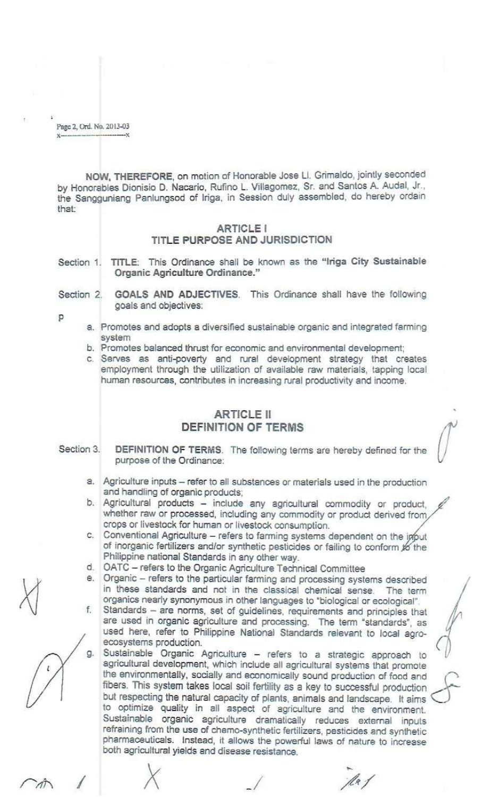Page 2, Ord. No. 2013-03

NOW, THEREFORE, on motion of Honorable Jose Ll. Grimaldo, jointly seconded by Honorables Dionisio D. Nacario, Rufino L. Villagomez, Sr. and Santos A. Audal, Jr., the Sangguniang Panlungsod of Iriga, in Session duly assembled, do hereby ordain that:

#### **ARTICLE I** TITLE PURPOSE AND JURISDICTION

Section 1. TITLE: This Ordinance shall be known as the "Iriga City Sustainable Organic Agriculture Ordinance."

Section 2. GOALS AND ADJECTIVES. This Ordinance shall have the following goals and objectives:

p

- a. Promotes and adopts a diversified sustainable organic and integrated farming system
- b. Promotes balanced thrust for economic and environmental development;
- c. Serves as anti-poverty and rural development strategy that creates employment through the utilization of available raw materials, tapping local human resources, contributes in increasing rural productivity and income.

# **ARTICLE II DEFINITION OF TERMS**

Section 3. DEFINITION OF TERMS. The following terms are hereby defined for the purpose of the Ordinance:

- a. Agriculture inputs refer to all substances or materials used in the production and handling of organic products;
- b. Agricultural products include any agricultural commodity or product, whether raw or processed, including any commodity or product derived from, crops or livestock for human or livestock consumption.
- c. Conventional Agriculture refers to farming systems dependent on the ipput of inorganic fertilizers and/or synthetic pesticides or failing to conform to the Philippine national Standards in any other way.
- d. OATC refers to the Organic Agriculture Technical Committee
- e. Organic refers to the particular farming and processing systems described in these standards and not in the classical chemical sense. The term organics nearly synonymous in other languages to "biological or ecological".
- Standards are norms, set of guidelines, requirements and principles that f. are used in organic agriculture and processing. The term "standards", as used here, refer to Philippine National Standards relevant to local agroecosystems production.
	- Sustainable Organic Agriculture refers to a strategic approach to agricultural development, which include all agricultural systems that promote the environmentally, socially and economically sound production of food and fibers. This system takes local soil fertility as a key to successful production but respecting the natural capacity of plants, animals and landscape. It aims to optimize quality in all aspect of agriculture and the environment. Sustainable organic agriculture dramatically reduces external inputs refraining from the use of chemo-synthetic fertilizers, pesticides and synthetic pharmaceuticals. Instead, it allows the powerful laws of nature to increase both agricultural yields and disease resistance.

le 1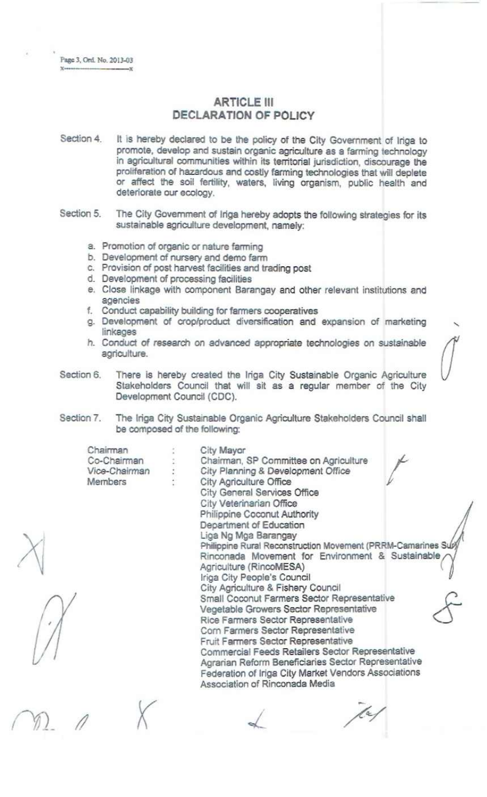# **ARTICLE III DECLARATION OF POLICY**

- Section 4. It is hereby declared to be the policy of the City Government of lriga to promote, develop and sustain organic agriculture as a farming technology in agricultural communities within its territorial jurisdiction, discourage the proliferation of hazardous and costly farming technologies that will deplete or affect the soil fertility, waters, living organism, public health and deteriorate our ecology.
- Section 5. The City Government of Iriga hereby adopts the following strategies for its sustainable agriculture development, namely:
	- a. Promotion of organic or nature farming
	- b. Development of nursery and demo farm
	- c. Provision of post harvest facilities and trading post
	- d. Development of processing facilities
	- e. Close linkage with component Barangay and other relevant institutions and agencies
	- 1. Conduct capability building for farmers cooperatives
	- g. Development of crop/product diversification and expansion of marketing linkages
	- h. Conduct of research on advanced appropriate technologies on sustainable agricultura.

*(f*

Section 6. There is hereby created the lriga City Sustainable Organic Agriculture Stakeholders Council that will sit as a regular member of the City Development Council (CDC).

Section 7. The lriga City Sustainable Organic Agriculture Stakeholders Council shall be composed of the following:

| Chairman      | City Mayor                                                  |
|---------------|-------------------------------------------------------------|
| Co-Chairman   | Chairman, SP Committee on Agriculture                       |
| Vice-Chairman | City Planning & Development Office                          |
| Members       | City Agriculture Office                                     |
|               | City General Services Office                                |
|               | City Veterinarian Office                                    |
|               | Philippine Coconut Authority                                |
|               | Department of Education                                     |
|               | Liga Ng Mga Barangay                                        |
|               | Philippine Rural Reconstruction Movement (PRRM-Camarines Su |
|               | Rinconada Movement for Environment & Sustainable            |
|               | Agriculture (RincoMESA)                                     |
|               | Iriga City People's Council                                 |
|               | City Agriculture & Fishery Council                          |
|               | Small Coconut Farmers Sector Representative                 |
|               | Vegetable Growers Sector Representative                     |
|               | Rice Farmers Sector Representative                          |
|               | Corn Farmers Sector Representative                          |
|               | Fruit Farmers Sector Representative                         |
|               | Commercial Feeds Retailers Sector Representative            |
|               | Agrarian Reform Beneficiaries Sector Representative         |
|               | Federation of Iriga City Market Vendors Associations        |
|               | Association of Rinconada Media                              |
|               |                                                             |
|               |                                                             |
|               |                                                             |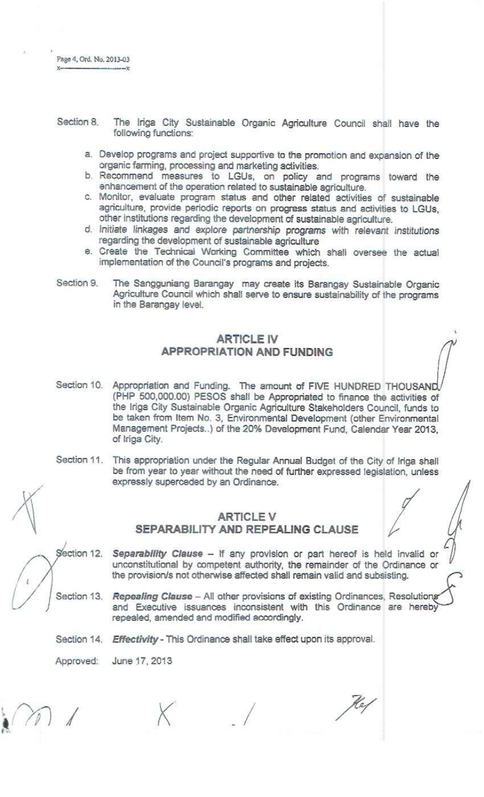$x - x$ 

- Section 8. The lriga City Sustainable Organic Agriculture Council shall have the following functions:
	- a. Develop programs and project supportive to the promotion and expansion of the organic farming, processing and marketing activities.
	- b. Recommend measures to LGUs, on policy and programs toward the enhancement of the operation related to sustainable agriculture.
	- c. Monitor, evaluate program status and other related activities of sustainable agriculture, provide periodic reports on progress status and activities to LGUs, other institutions regarding the development of sustainable agriculture.
	- d. Initiate linkages and explore partnership programs with relevant *institutions* regarding the development of sustainable agriculture
	- e. Create the Technical Working Committee which shall oversee the actual implementation of the Council's programs and projects.
- Section 9. The Sangguniang Barangay *may* create its 8arangay Sustainable Organic Agriculture Council which shall serve to ensure sustainability of the programs in the Barangay level.

### ARTICLE IV APPROPRIATION AND FUNDING

- Section 10. Appropriation and Funding. The amount of FIVE HUNDRED THOUSAND (PHP 500,000.00) PESOS shall be Appropriated to finance the activities of the lriga City Sustainable Organic Agriculture Stakeholders Council, funds to be taken from Item No. 3, Environmental Development (other Environmental Management Projects ..) of the 20% Development Fund, Calendar Year 2013, of lriga City.
- Section 11. This appropriation under the Regular Annual Budget of the City of lriga shall be from *year* to year without the need of further expressed legislation, unless expressly superceded by an Ordinance. appropriation under the Regular Annual Budget of the City of Iriga<br>
Im year to year without the need of further expressed legislation, un<br>
ISSN superceded by an Ordinance.<br> **III ARTICLE V<br>
SEPARABILITY AND REPEALING CLAUSE**

# ARTICLE V

Section 12. *Separability Clause -* If any provision or part hereof is held invalid or unconstitutional by competent authority, the remainder of the Ordinance or the provision/s not otherwise affected shall remain valid and subsisting.

Section 13. **Repealing Clause** - All other provisions of existing Ordinances, Resolutions and Executive issuances inconsistent with this Ordinance are hereby repealed, amended and modified accordingly.

Section 14. *Effectivity* - This Ordinance shall take effect upon its approval.

Approved: June 17, 2013

*\_I*

Kas